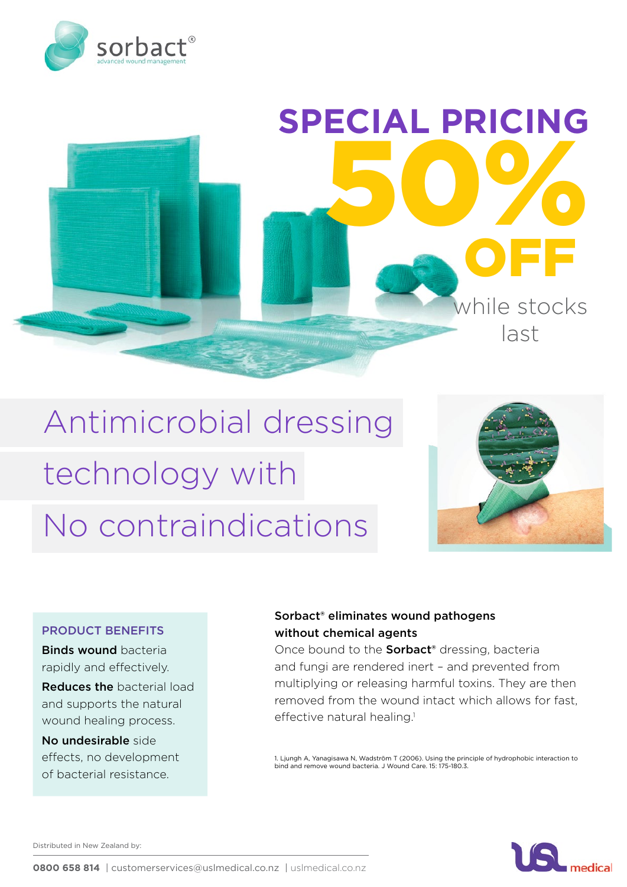



# Antimicrobial dressing technology with No contraindications



### PRODUCT BENEFITS

**Binds wound bacteria** rapidly and effectively.

Reduces the bacterial load and supports the natural wound healing process.

No undesirable side effects, no development of bacterial resistance.

## Sorbact® eliminates wound pathogens without chemical agents

Once bound to the **Sorbact**<sup>®</sup> dressing, bacteria and fungi are rendered inert – and prevented from multiplying or releasing harmful toxins. They are then removed from the wound intact which allows for fast, effective natural healing.<sup>1</sup>

1. Ljungh A, Yanagisawa N, Wadström T (2006). Using the principle of hydrophobic interaction to bind and remove wound bacteria. J Wound Care. 15: 175-180.3.



Distributed in New Zealand by: